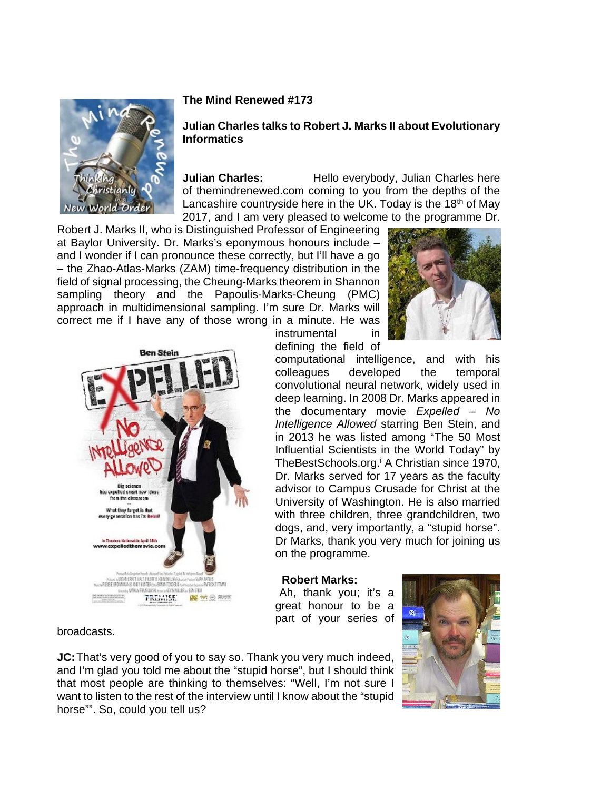

### **The Mind Renewed #173**

### **Julian Charles talks to Robert J. Marks II about Evolutionary Informatics**

**Julian Charles:** Hello everybody, Julian Charles here of themindrenewed.com coming to you from the depths of the Lancashire countryside here in the UK. Today is the  $18<sup>th</sup>$  of May 2017, and I am very pleased to welcome to the programme Dr.

Robert J. Marks II, who is Distinguished Professor of Engineering at Baylor University. Dr. Marks's eponymous honours include – and I wonder if I can pronounce these correctly, but I'll have a go – the Zhao-Atlas-Marks (ZAM) time-frequency distribution in the field of signal processing, the Cheung-Marks theorem in Shannon sampling theory and the Papoulis-Marks-Cheung (PMC) approach in multidimensional sampling. I'm sure Dr. Marks will correct me if I have any of those wrong in a minute. He was





instrumental in defining the field of

computational intelligence, and with his colleagues developed the temporal convolutional neural network, widely used in deep learning. In 2008 Dr. Marks appeared in the documentary movie *Expelled – No Intelligence Allowed* starring Ben Stein, and in 2013 he was listed among "The 50 Most Influential Scientists in the World Today" by TheBestSchools.org.<sup>i</sup> A Christian since 1970, Dr. Marks served for 17 years as the faculty advisor to Campus Crusade for Christ at the University of Washington. He is also married with three children, three grandchildren, two dogs, and, very importantly, a "stupid horse". Dr Marks, thank you very much for joining us on the programme.

#### **Robert Marks:**

Ah, thank you; it's a great honour to be a part of your series of



broadcasts.

**JC:** That's very good of you to say so. Thank you very much indeed, and I'm glad you told me about the "stupid horse", but I should think that most people are thinking to themselves: "Well, I'm not sure I want to listen to the rest of the interview until I know about the "stupid horse"". So, could you tell us?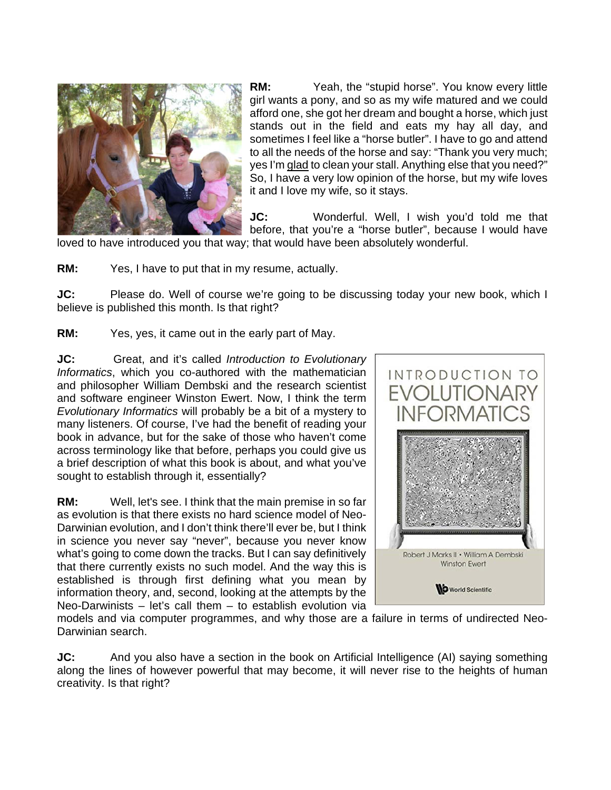

**RM:** Yeah, the "stupid horse". You know every little girl wants a pony, and so as my wife matured and we could afford one, she got her dream and bought a horse, which just stands out in the field and eats my hay all day, and sometimes I feel like a "horse butler". I have to go and attend to all the needs of the horse and say: "Thank you very much; yes I'm glad to clean your stall. Anything else that you need?" So, I have a very low opinion of the horse, but my wife loves it and I love my wife, so it stays.

**JC:** Wonderful. Well, I wish you'd told me that before, that you're a "horse butler", because I would have loved to have introduced you that way; that would have been absolutely wonderful.

**RM:** Yes, I have to put that in my resume, actually.

**JC:** Please do. Well of course we're going to be discussing today your new book, which I believe is published this month. Is that right?

**RM:** Yes, yes, it came out in the early part of May.

**JC:** Great, and it's called *Introduction to Evolutionary Informatics*, which you co-authored with the mathematician and philosopher William Dembski and the research scientist and software engineer Winston Ewert. Now, I think the term *Evolutionary Informatics* will probably be a bit of a mystery to many listeners. Of course, I've had the benefit of reading your book in advance, but for the sake of those who haven't come across terminology like that before, perhaps you could give us a brief description of what this book is about, and what you've sought to establish through it, essentially?

**RM:** Well, let's see. I think that the main premise in so far as evolution is that there exists no hard science model of Neo-Darwinian evolution, and I don't think there'll ever be, but I think in science you never say "never", because you never know what's going to come down the tracks. But I can say definitively that there currently exists no such model. And the way this is established is through first defining what you mean by information theory, and, second, looking at the attempts by the Neo-Darwinists  $-$  let's call them  $-$  to establish evolution via



models and via computer programmes, and why those are a failure in terms of undirected Neo-Darwinian search.

**JC:** And you also have a section in the book on Artificial Intelligence (AI) saying something along the lines of however powerful that may become, it will never rise to the heights of human creativity. Is that right?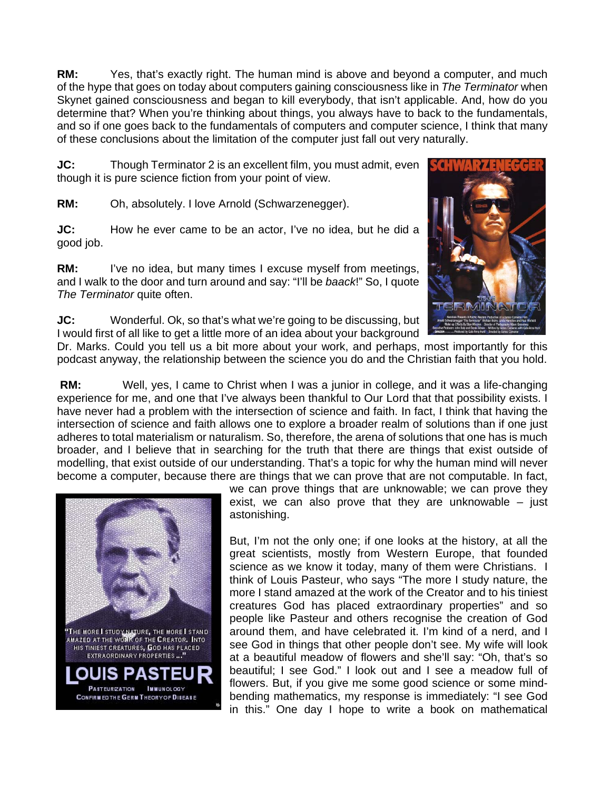**RM:** Yes, that's exactly right. The human mind is above and beyond a computer, and much of the hype that goes on today about computers gaining consciousness like in *The Terminator* when Skynet gained consciousness and began to kill everybody, that isn't applicable. And, how do you determine that? When you're thinking about things, you always have to back to the fundamentals, and so if one goes back to the fundamentals of computers and computer science, I think that many of these conclusions about the limitation of the computer just fall out very naturally.

**JC:** Though Terminator 2 is an excellent film, you must admit, even though it is pure science fiction from your point of view.

**RM:** Oh, absolutely. I love Arnold (Schwarzenegger).

**JC:** How he ever came to be an actor, I've no idea, but he did a good job.

**RM:** I've no idea, but many times I excuse myself from meetings, and I walk to the door and turn around and say: "I'll be *baack*!" So, I quote *The Terminator* quite often.



**JC:** Wonderful. Ok, so that's what we're going to be discussing, but I would first of all like to get a little more of an idea about your background

Dr. Marks. Could you tell us a bit more about your work, and perhaps, most importantly for this podcast anyway, the relationship between the science you do and the Christian faith that you hold.

**RM:** Well, yes, I came to Christ when I was a junior in college, and it was a life-changing experience for me, and one that I've always been thankful to Our Lord that that possibility exists. I have never had a problem with the intersection of science and faith. In fact, I think that having the intersection of science and faith allows one to explore a broader realm of solutions than if one just adheres to total materialism or naturalism. So, therefore, the arena of solutions that one has is much broader, and I believe that in searching for the truth that there are things that exist outside of modelling, that exist outside of our understanding. That's a topic for why the human mind will never become a computer, because there are things that we can prove that are not computable. In fact,



we can prove things that are unknowable; we can prove they exist, we can also prove that they are unknowable  $-$  just astonishing.

But, I'm not the only one; if one looks at the history, at all the great scientists, mostly from Western Europe, that founded science as we know it today, many of them were Christians. I think of Louis Pasteur, who says "The more I study nature, the more I stand amazed at the work of the Creator and to his tiniest creatures God has placed extraordinary properties" and so people like Pasteur and others recognise the creation of God around them, and have celebrated it. I'm kind of a nerd, and I see God in things that other people don't see. My wife will look at a beautiful meadow of flowers and she'll say: "Oh, that's so beautiful; I see God." I look out and I see a meadow full of flowers. But, if you give me some good science or some mindbending mathematics, my response is immediately: "I see God in this." One day I hope to write a book on mathematical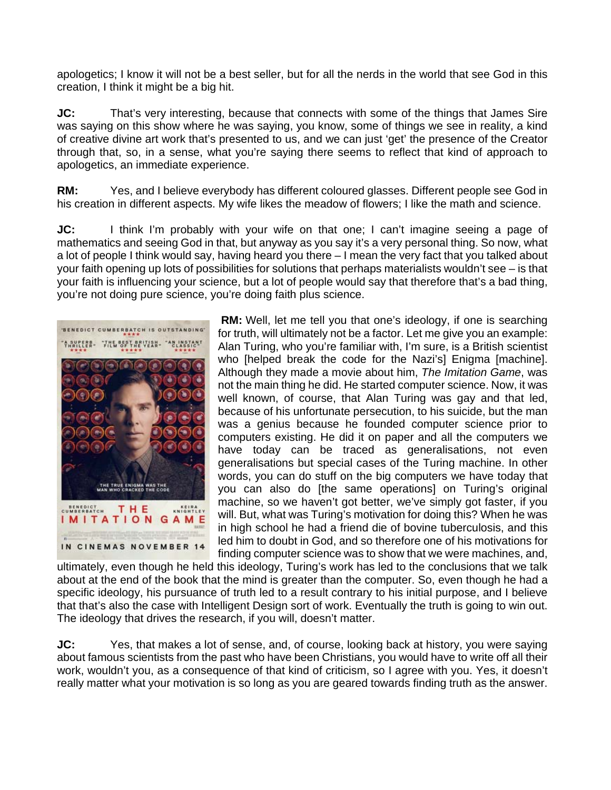apologetics; I know it will not be a best seller, but for all the nerds in the world that see God in this creation, I think it might be a big hit.

**JC:** That's very interesting, because that connects with some of the things that James Sire was saying on this show where he was saying, you know, some of things we see in reality, a kind of creative divine art work that's presented to us, and we can just 'get' the presence of the Creator through that, so, in a sense, what you're saying there seems to reflect that kind of approach to apologetics, an immediate experience.

**RM:** Yes, and I believe everybody has different coloured glasses. Different people see God in his creation in different aspects. My wife likes the meadow of flowers; I like the math and science.

**JC:** I think I'm probably with your wife on that one; I can't imagine seeing a page of mathematics and seeing God in that, but anyway as you say it's a very personal thing. So now, what a lot of people I think would say, having heard you there – I mean the very fact that you talked about your faith opening up lots of possibilities for solutions that perhaps materialists wouldn't see – is that your faith is influencing your science, but a lot of people would say that therefore that's a bad thing, you're not doing pure science, you're doing faith plus science.



**RM:** Well, let me tell you that one's ideology, if one is searching for truth, will ultimately not be a factor. Let me give you an example: Alan Turing, who you're familiar with, I'm sure, is a British scientist who [helped break the code for the Nazi's] Enigma [machine]. Although they made a movie about him, *The Imitation Game*, was not the main thing he did. He started computer science. Now, it was well known, of course, that Alan Turing was gay and that led, because of his unfortunate persecution, to his suicide, but the man was a genius because he founded computer science prior to computers existing. He did it on paper and all the computers we have today can be traced as generalisations, not even generalisations but special cases of the Turing machine. In other words, you can do stuff on the big computers we have today that you can also do [the same operations] on Turing's original machine, so we haven't got better, we've simply got faster, if you will. But, what was Turing's motivation for doing this? When he was in high school he had a friend die of bovine tuberculosis, and this led him to doubt in God, and so therefore one of his motivations for finding computer science was to show that we were machines, and,

ultimately, even though he held this ideology, Turing's work has led to the conclusions that we talk about at the end of the book that the mind is greater than the computer. So, even though he had a specific ideology, his pursuance of truth led to a result contrary to his initial purpose, and I believe that that's also the case with Intelligent Design sort of work. Eventually the truth is going to win out. The ideology that drives the research, if you will, doesn't matter.

**JC:** Yes, that makes a lot of sense, and, of course, looking back at history, you were saying about famous scientists from the past who have been Christians, you would have to write off all their work, wouldn't you, as a consequence of that kind of criticism, so I agree with you. Yes, it doesn't really matter what your motivation is so long as you are geared towards finding truth as the answer.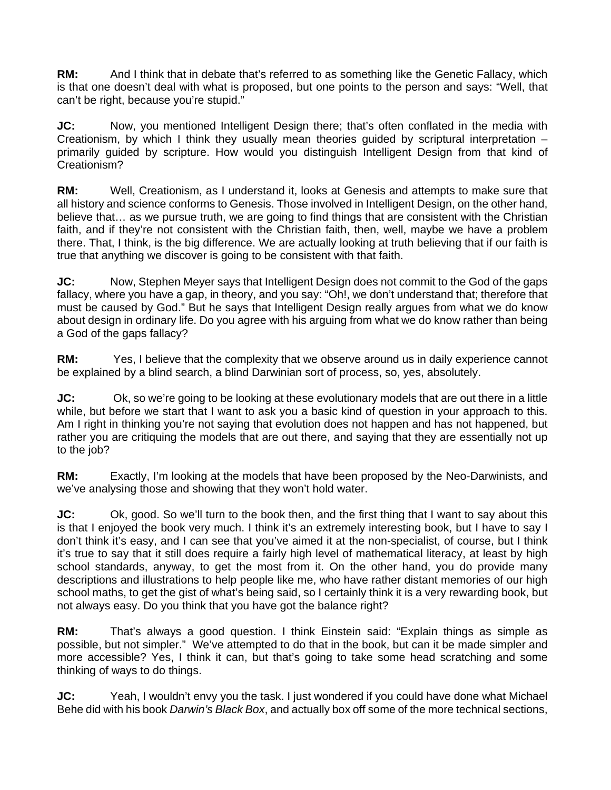**RM:** And I think that in debate that's referred to as something like the Genetic Fallacy, which is that one doesn't deal with what is proposed, but one points to the person and says: "Well, that can't be right, because you're stupid."

**JC:** Now, you mentioned Intelligent Design there; that's often conflated in the media with Creationism, by which I think they usually mean theories guided by scriptural interpretation – primarily guided by scripture. How would you distinguish Intelligent Design from that kind of Creationism?

**RM:** Well, Creationism, as I understand it, looks at Genesis and attempts to make sure that all history and science conforms to Genesis. Those involved in Intelligent Design, on the other hand, believe that… as we pursue truth, we are going to find things that are consistent with the Christian faith, and if they're not consistent with the Christian faith, then, well, maybe we have a problem there. That, I think, is the big difference. We are actually looking at truth believing that if our faith is true that anything we discover is going to be consistent with that faith.

**JC:** Now, Stephen Meyer says that Intelligent Design does not commit to the God of the gaps fallacy, where you have a gap, in theory, and you say: "Oh!, we don't understand that; therefore that must be caused by God." But he says that Intelligent Design really argues from what we do know about design in ordinary life. Do you agree with his arguing from what we do know rather than being a God of the gaps fallacy?

**RM:** Yes, I believe that the complexity that we observe around us in daily experience cannot be explained by a blind search, a blind Darwinian sort of process, so, yes, absolutely.

**JC:** Ok, so we're going to be looking at these evolutionary models that are out there in a little while, but before we start that I want to ask you a basic kind of question in your approach to this. Am I right in thinking you're not saying that evolution does not happen and has not happened, but rather you are critiquing the models that are out there, and saying that they are essentially not up to the job?

**RM:** Exactly, I'm looking at the models that have been proposed by the Neo-Darwinists, and we've analysing those and showing that they won't hold water.

**JC:** Ok, good. So we'll turn to the book then, and the first thing that I want to say about this is that I enjoyed the book very much. I think it's an extremely interesting book, but I have to say I don't think it's easy, and I can see that you've aimed it at the non-specialist, of course, but I think it's true to say that it still does require a fairly high level of mathematical literacy, at least by high school standards, anyway, to get the most from it. On the other hand, you do provide many descriptions and illustrations to help people like me, who have rather distant memories of our high school maths, to get the gist of what's being said, so I certainly think it is a very rewarding book, but not always easy. Do you think that you have got the balance right?

**RM:** That's always a good question. I think Einstein said: "Explain things as simple as possible, but not simpler." We've attempted to do that in the book, but can it be made simpler and more accessible? Yes, I think it can, but that's going to take some head scratching and some thinking of ways to do things.

**JC:** Yeah, I wouldn't envy you the task. I just wondered if you could have done what Michael Behe did with his book *Darwin's Black Box*, and actually box off some of the more technical sections,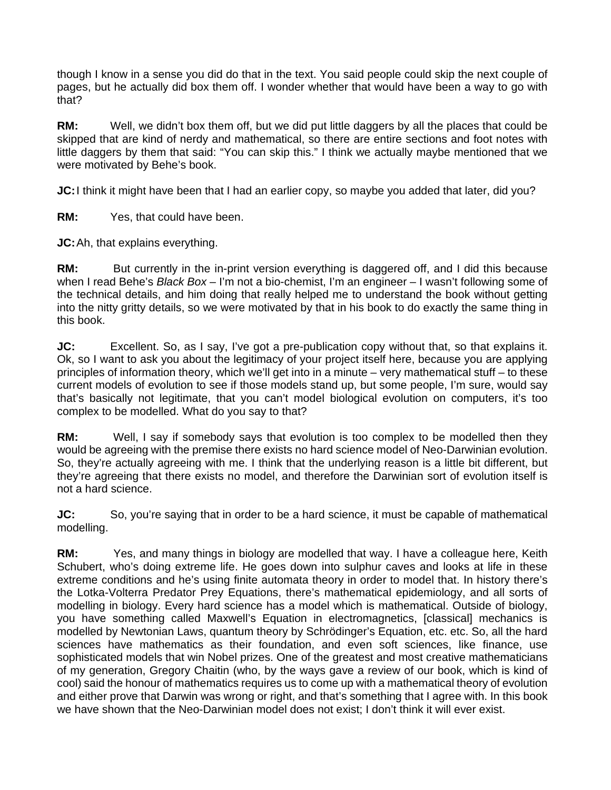though I know in a sense you did do that in the text. You said people could skip the next couple of pages, but he actually did box them off. I wonder whether that would have been a way to go with that?

**RM:** Well, we didn't box them off, but we did put little daggers by all the places that could be skipped that are kind of nerdy and mathematical, so there are entire sections and foot notes with little daggers by them that said: "You can skip this." I think we actually maybe mentioned that we were motivated by Behe's book.

**JC:** I think it might have been that I had an earlier copy, so maybe you added that later, did you?

**RM:** Yes, that could have been.

**JC:** Ah, that explains everything.

**RM:** But currently in the in-print version everything is daggered off, and I did this because when I read Behe's *Black Box* – I'm not a bio-chemist, I'm an engineer – I wasn't following some of the technical details, and him doing that really helped me to understand the book without getting into the nitty gritty details, so we were motivated by that in his book to do exactly the same thing in this book.

**JC:** Excellent. So, as I say, I've got a pre-publication copy without that, so that explains it. Ok, so I want to ask you about the legitimacy of your project itself here, because you are applying principles of information theory, which we'll get into in a minute – very mathematical stuff – to these current models of evolution to see if those models stand up, but some people, I'm sure, would say that's basically not legitimate, that you can't model biological evolution on computers, it's too complex to be modelled. What do you say to that?

**RM:** Well, I say if somebody says that evolution is too complex to be modelled then they would be agreeing with the premise there exists no hard science model of Neo-Darwinian evolution. So, they're actually agreeing with me. I think that the underlying reason is a little bit different, but they're agreeing that there exists no model, and therefore the Darwinian sort of evolution itself is not a hard science.

**JC:** So, you're saying that in order to be a hard science, it must be capable of mathematical modelling.

**RM:** Yes, and many things in biology are modelled that way. I have a colleague here, Keith Schubert, who's doing extreme life. He goes down into sulphur caves and looks at life in these extreme conditions and he's using finite automata theory in order to model that. In history there's the Lotka-Volterra Predator Prey Equations, there's mathematical epidemiology, and all sorts of modelling in biology. Every hard science has a model which is mathematical. Outside of biology, you have something called Maxwell's Equation in electromagnetics, [classical] mechanics is modelled by Newtonian Laws, quantum theory by Schrödinger's Equation, etc. etc. So, all the hard sciences have mathematics as their foundation, and even soft sciences, like finance, use sophisticated models that win Nobel prizes. One of the greatest and most creative mathematicians of my generation, Gregory Chaitin (who, by the ways gave a review of our book, which is kind of cool) said the honour of mathematics requires us to come up with a mathematical theory of evolution and either prove that Darwin was wrong or right, and that's something that I agree with. In this book we have shown that the Neo-Darwinian model does not exist; I don't think it will ever exist.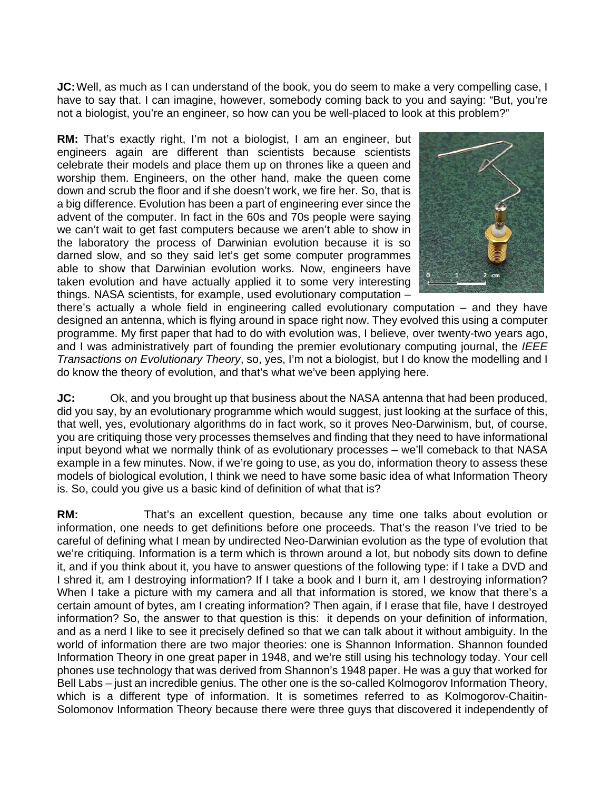**JC:** Well, as much as I can understand of the book, you do seem to make a very compelling case, I have to say that. I can imagine, however, somebody coming back to you and saying: "But, you're not a biologist, you're an engineer, so how can you be well-placed to look at this problem?"

**RM:** That's exactly right, I'm not a biologist, I am an engineer, but engineers again are different than scientists because scientists celebrate their models and place them up on thrones like a queen and worship them. Engineers, on the other hand, make the queen come down and scrub the floor and if she doesn't work, we fire her. So, that is a big difference. Evolution has been a part of engineering ever since the advent of the computer. In fact in the 60s and 70s people were saying we can't wait to get fast computers because we aren't able to show in the laboratory the process of Darwinian evolution because it is so darned slow, and so they said let's get some computer programmes able to show that Darwinian evolution works. Now, engineers have taken evolution and have actually applied it to some very interesting things. NASA scientists, for example, used evolutionary computation –



there's actually a whole field in engineering called evolutionary computation – and they have designed an antenna, which is flying around in space right now. They evolved this using a computer programme. My first paper that had to do with evolution was, I believe, over twenty-two years ago, and I was administratively part of founding the premier evolutionary computing journal, the *IEEE Transactions on Evolutionary Theory*, so, yes, I'm not a biologist, but I do know the modelling and I do know the theory of evolution, and that's what we've been applying here.

**JC:** Ok, and you brought up that business about the NASA antenna that had been produced, did you say, by an evolutionary programme which would suggest, just looking at the surface of this, that well, yes, evolutionary algorithms do in fact work, so it proves Neo-Darwinism, but, of course, you are critiquing those very processes themselves and finding that they need to have informational input beyond what we normally think of as evolutionary processes – we'll comeback to that NASA example in a few minutes. Now, if we're going to use, as you do, information theory to assess these models of biological evolution, I think we need to have some basic idea of what Information Theory is. So, could you give us a basic kind of definition of what that is?

**RM:** That's an excellent question, because any time one talks about evolution or information, one needs to get definitions before one proceeds. That's the reason I've tried to be careful of defining what I mean by undirected Neo-Darwinian evolution as the type of evolution that we're critiquing. Information is a term which is thrown around a lot, but nobody sits down to define it, and if you think about it, you have to answer questions of the following type: if I take a DVD and I shred it, am I destroying information? If I take a book and I burn it, am I destroying information? When I take a picture with my camera and all that information is stored, we know that there's a certain amount of bytes, am I creating information? Then again, if I erase that file, have I destroyed information? So, the answer to that question is this: it depends on your definition of information, and as a nerd I like to see it precisely defined so that we can talk about it without ambiguity. In the world of information there are two major theories: one is Shannon Information. Shannon founded Information Theory in one great paper in 1948, and we're still using his technology today. Your cell phones use technology that was derived from Shannon's 1948 paper. He was a guy that worked for Bell Labs – just an incredible genius. The other one is the so-called Kolmogorov Information Theory, which is a different type of information. It is sometimes referred to as Kolmogorov-Chaitin-Solomonov Information Theory because there were three guys that discovered it independently of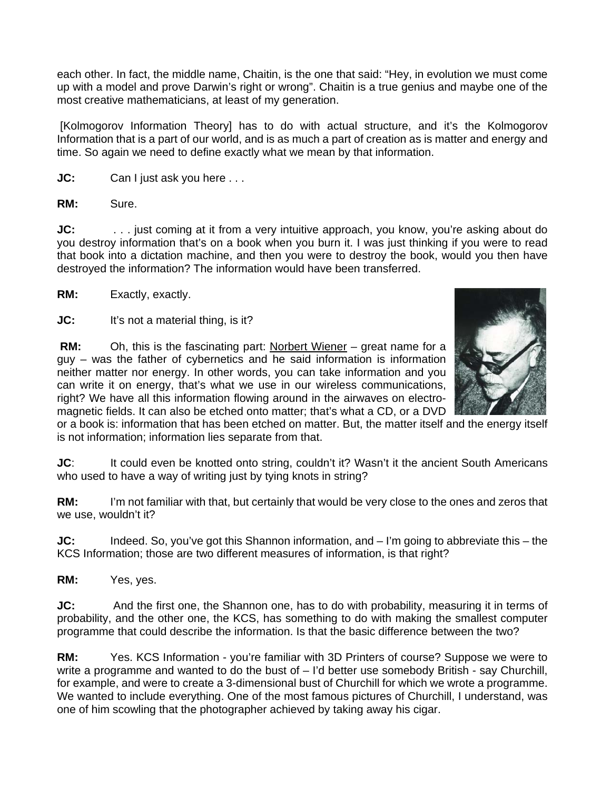each other. In fact, the middle name, Chaitin, is the one that said: "Hey, in evolution we must come up with a model and prove Darwin's right or wrong". Chaitin is a true genius and maybe one of the most creative mathematicians, at least of my generation.

 [Kolmogorov Information Theory] has to do with actual structure, and it's the Kolmogorov Information that is a part of our world, and is as much a part of creation as is matter and energy and time. So again we need to define exactly what we mean by that information.

**JC:** Can I just ask you here ...

**RM:** Sure.

**JC:** ... just coming at it from a very intuitive approach, you know, you're asking about do you destroy information that's on a book when you burn it. I was just thinking if you were to read that book into a dictation machine, and then you were to destroy the book, would you then have destroyed the information? The information would have been transferred.

**RM:** Exactly, exactly.

**JC:** It's not a material thing, is it?

**RM:** Oh, this is the fascinating part: Norbert Wiener – great name for a guy – was the father of cybernetics and he said information is information neither matter nor energy. In other words, you can take information and you can write it on energy, that's what we use in our wireless communications, right? We have all this information flowing around in the airwaves on electromagnetic fields. It can also be etched onto matter; that's what a CD, or a DVD



or a book is: information that has been etched on matter. But, the matter itself and the energy itself is not information; information lies separate from that.

**JC**: It could even be knotted onto string, couldn't it? Wasn't it the ancient South Americans who used to have a way of writing just by tying knots in string?

**RM:** I'm not familiar with that, but certainly that would be very close to the ones and zeros that we use, wouldn't it?

**JC:** Indeed. So, you've got this Shannon information, and – I'm going to abbreviate this – the KCS Information; those are two different measures of information, is that right?

**RM:** Yes, yes.

**JC:** And the first one, the Shannon one, has to do with probability, measuring it in terms of probability, and the other one, the KCS, has something to do with making the smallest computer programme that could describe the information. Is that the basic difference between the two?

**RM:** Yes. KCS Information - you're familiar with 3D Printers of course? Suppose we were to write a programme and wanted to do the bust of – I'd better use somebody British - say Churchill, for example, and were to create a 3-dimensional bust of Churchill for which we wrote a programme. We wanted to include everything. One of the most famous pictures of Churchill, I understand, was one of him scowling that the photographer achieved by taking away his cigar.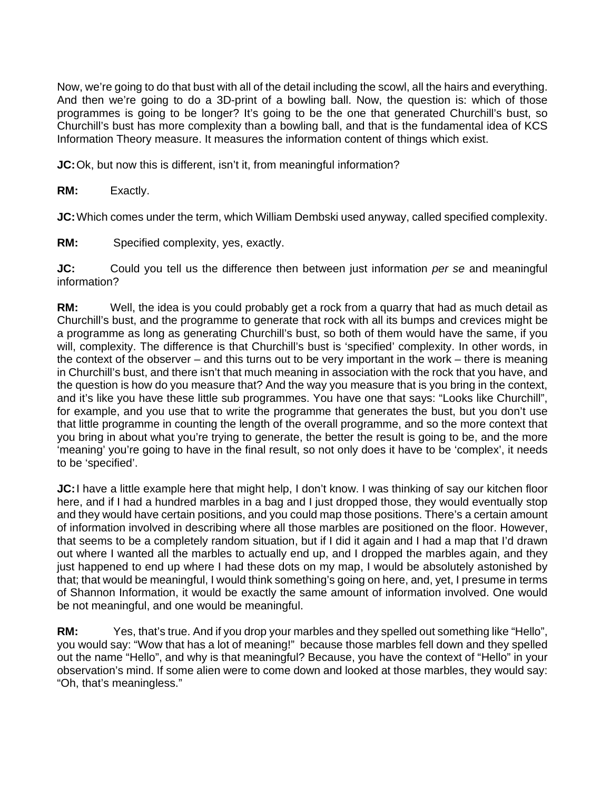Now, we're going to do that bust with all of the detail including the scowl, all the hairs and everything. And then we're going to do a 3D-print of a bowling ball. Now, the question is: which of those programmes is going to be longer? It's going to be the one that generated Churchill's bust, so Churchill's bust has more complexity than a bowling ball, and that is the fundamental idea of KCS Information Theory measure. It measures the information content of things which exist.

**JC:** Ok, but now this is different, isn't it, from meaningful information?

**RM:** Exactly.

**JC:** Which comes under the term, which William Dembski used anyway, called specified complexity.

**RM:** Specified complexity, yes, exactly.

**JC:** Could you tell us the difference then between just information *per se* and meaningful information?

**RM:** Well, the idea is you could probably get a rock from a quarry that had as much detail as Churchill's bust, and the programme to generate that rock with all its bumps and crevices might be a programme as long as generating Churchill's bust, so both of them would have the same, if you will, complexity. The difference is that Churchill's bust is 'specified' complexity. In other words, in the context of the observer – and this turns out to be very important in the work – there is meaning in Churchill's bust, and there isn't that much meaning in association with the rock that you have, and the question is how do you measure that? And the way you measure that is you bring in the context, and it's like you have these little sub programmes. You have one that says: "Looks like Churchill", for example, and you use that to write the programme that generates the bust, but you don't use that little programme in counting the length of the overall programme, and so the more context that you bring in about what you're trying to generate, the better the result is going to be, and the more 'meaning' you're going to have in the final result, so not only does it have to be 'complex', it needs to be 'specified'.

**JC:** I have a little example here that might help, I don't know. I was thinking of say our kitchen floor here, and if I had a hundred marbles in a bag and I just dropped those, they would eventually stop and they would have certain positions, and you could map those positions. There's a certain amount of information involved in describing where all those marbles are positioned on the floor. However, that seems to be a completely random situation, but if I did it again and I had a map that I'd drawn out where I wanted all the marbles to actually end up, and I dropped the marbles again, and they just happened to end up where I had these dots on my map, I would be absolutely astonished by that; that would be meaningful, I would think something's going on here, and, yet, I presume in terms of Shannon Information, it would be exactly the same amount of information involved. One would be not meaningful, and one would be meaningful.

**RM:** Yes, that's true. And if you drop your marbles and they spelled out something like "Hello", you would say: "Wow that has a lot of meaning!" because those marbles fell down and they spelled out the name "Hello", and why is that meaningful? Because, you have the context of "Hello" in your observation's mind. If some alien were to come down and looked at those marbles, they would say: "Oh, that's meaningless."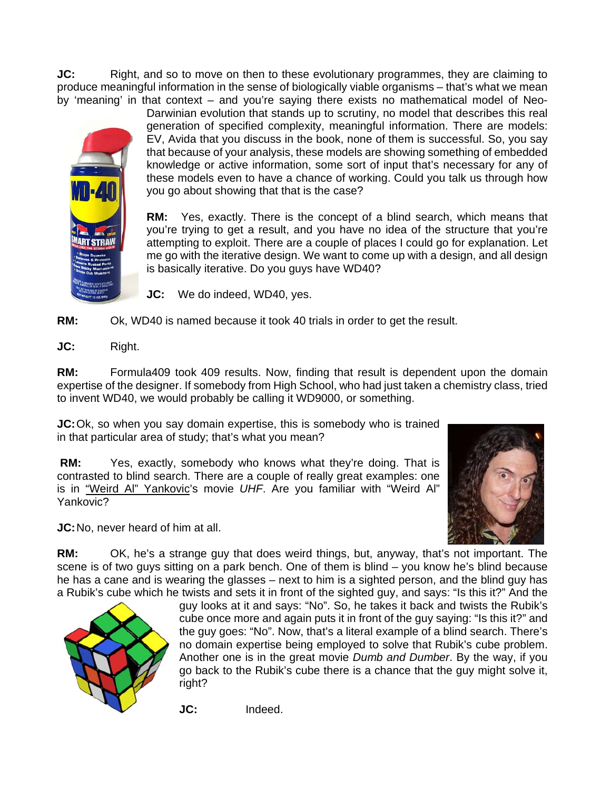**JC:** Right, and so to move on then to these evolutionary programmes, they are claiming to produce meaningful information in the sense of biologically viable organisms – that's what we mean by 'meaning' in that context – and you're saying there exists no mathematical model of Neo-



Darwinian evolution that stands up to scrutiny, no model that describes this real generation of specified complexity, meaningful information. There are models: EV, Avida that you discuss in the book, none of them is successful. So, you say that because of your analysis, these models are showing something of embedded knowledge or active information, some sort of input that's necessary for any of these models even to have a chance of working. Could you talk us through how you go about showing that that is the case?

**RM:** Yes, exactly. There is the concept of a blind search, which means that you're trying to get a result, and you have no idea of the structure that you're attempting to exploit. There are a couple of places I could go for explanation. Let me go with the iterative design. We want to come up with a design, and all design is basically iterative. Do you guys have WD40?

**JC:** We do indeed, WD40, yes.

**RM:** Ok, WD40 is named because it took 40 trials in order to get the result.

**JC:** Right.

**RM:** Formula409 took 409 results. Now, finding that result is dependent upon the domain expertise of the designer. If somebody from High School, who had just taken a chemistry class, tried to invent WD40, we would probably be calling it WD9000, or something.

**JC:** Ok, so when you say domain expertise, this is somebody who is trained in that particular area of study; that's what you mean?

**RM:** Yes, exactly, somebody who knows what they're doing. That is contrasted to blind search. There are a couple of really great examples: one is in "Weird Al" Yankovic's movie *UHF*. Are you familiar with "Weird Al" Yankovic?

**JC:** No, never heard of him at all.



**RM:** OK, he's a strange guy that does weird things, but, anyway, that's not important. The scene is of two guys sitting on a park bench. One of them is blind – you know he's blind because he has a cane and is wearing the glasses – next to him is a sighted person, and the blind guy has a Rubik's cube which he twists and sets it in front of the sighted guy, and says: "Is this it?" And the



guy looks at it and says: "No". So, he takes it back and twists the Rubik's cube once more and again puts it in front of the guy saying: "Is this it?" and the guy goes: "No". Now, that's a literal example of a blind search. There's no domain expertise being employed to solve that Rubik's cube problem. Another one is in the great movie *Dumb and Dumber*. By the way, if you go back to the Rubik's cube there is a chance that the guy might solve it, right?

**JC:** Indeed.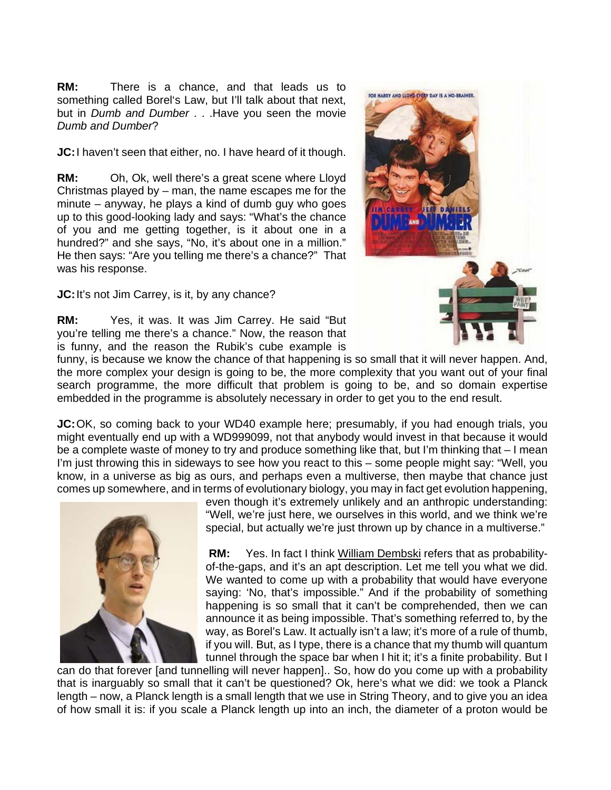**RM:** There is a chance, and that leads us to something called Borel's Law, but I'll talk about that next, but in *Dumb and Dumber* . . .Have you seen the movie *Dumb and Dumber*?

**JC:** I haven't seen that either, no. I have heard of it though.

**RM:** Oh, Ok, well there's a great scene where Lloyd Christmas played by – man, the name escapes me for the minute – anyway, he plays a kind of dumb guy who goes up to this good-looking lady and says: "What's the chance of you and me getting together, is it about one in a hundred?" and she says, "No, it's about one in a million." He then says: "Are you telling me there's a chance?" That was his response.

**JC:** It's not Jim Carrey, is it, by any chance?

**RM:** Yes, it was. It was Jim Carrey. He said "But you're telling me there's a chance." Now, the reason that is funny, and the reason the Rubik's cube example is



funny, is because we know the chance of that happening is so small that it will never happen. And, the more complex your design is going to be, the more complexity that you want out of your final search programme, the more difficult that problem is going to be, and so domain expertise embedded in the programme is absolutely necessary in order to get you to the end result.

**JC:** OK, so coming back to your WD40 example here; presumably, if you had enough trials, you might eventually end up with a WD999099, not that anybody would invest in that because it would be a complete waste of money to try and produce something like that, but I'm thinking that – I mean I'm just throwing this in sideways to see how you react to this – some people might say: "Well, you know, in a universe as big as ours, and perhaps even a multiverse, then maybe that chance just comes up somewhere, and in terms of evolutionary biology, you may in fact get evolution happening,



even though it's extremely unlikely and an anthropic understanding: "Well, we're just here, we ourselves in this world, and we think we're special, but actually we're just thrown up by chance in a multiverse."

 **RM:** Yes. In fact I think William Dembski refers that as probabilityof-the-gaps, and it's an apt description. Let me tell you what we did. We wanted to come up with a probability that would have everyone saying: 'No, that's impossible." And if the probability of something happening is so small that it can't be comprehended, then we can announce it as being impossible. That's something referred to, by the way, as Borel's Law. It actually isn't a law; it's more of a rule of thumb, if you will. But, as I type, there is a chance that my thumb will quantum tunnel through the space bar when I hit it; it's a finite probability. But I

can do that forever [and tunnelling will never happen].. So, how do you come up with a probability that is inarguably so small that it can't be questioned? Ok, here's what we did: we took a Planck length – now, a Planck length is a small length that we use in String Theory, and to give you an idea of how small it is: if you scale a Planck length up into an inch, the diameter of a proton would be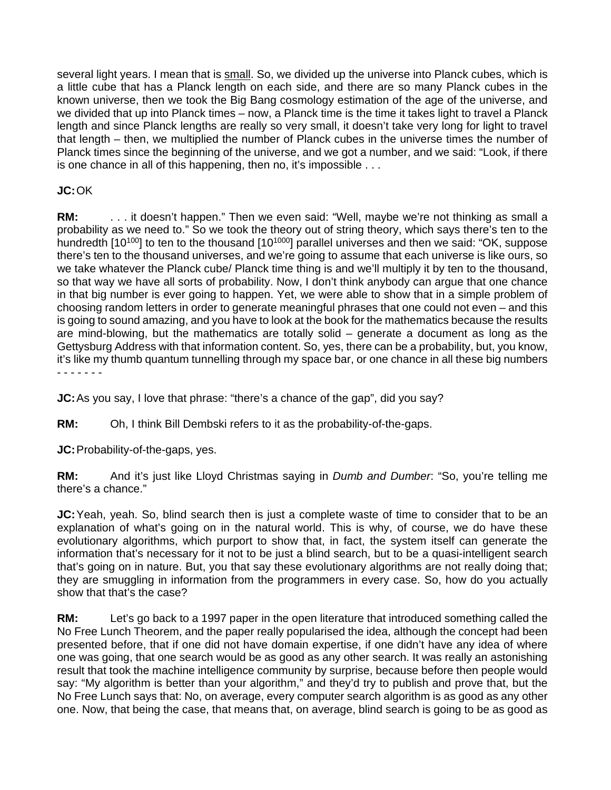several light years. I mean that is small. So, we divided up the universe into Planck cubes, which is a little cube that has a Planck length on each side, and there are so many Planck cubes in the known universe, then we took the Big Bang cosmology estimation of the age of the universe, and we divided that up into Planck times – now, a Planck time is the time it takes light to travel a Planck length and since Planck lengths are really so very small, it doesn't take very long for light to travel that length – then, we multiplied the number of Planck cubes in the universe times the number of Planck times since the beginning of the universe, and we got a number, and we said: "Look, if there is one chance in all of this happening, then no, it's impossible . . .

# **JC:** OK

**RM:** . . . it doesn't happen." Then we even said: "Well, maybe we're not thinking as small a probability as we need to." So we took the theory out of string theory, which says there's ten to the hundredth [10<sup>100</sup>] to ten to the thousand [10<sup>1000</sup>] parallel universes and then we said: "OK, suppose there's ten to the thousand universes, and we're going to assume that each universe is like ours, so we take whatever the Planck cube/ Planck time thing is and we'll multiply it by ten to the thousand, so that way we have all sorts of probability. Now, I don't think anybody can argue that one chance in that big number is ever going to happen. Yet, we were able to show that in a simple problem of choosing random letters in order to generate meaningful phrases that one could not even – and this is going to sound amazing, and you have to look at the book for the mathematics because the results are mind-blowing, but the mathematics are totally solid – generate a document as long as the Gettysburg Address with that information content. So, yes, there can be a probability, but, you know, it's like my thumb quantum tunnelling through my space bar, or one chance in all these big numbers - - - - - - -

**JC:** As you say, I love that phrase: "there's a chance of the gap", did you say?

**RM:** Oh, I think Bill Dembski refers to it as the probability-of-the-gaps.

**JC:** Probability-of-the-gaps, yes.

**RM:** And it's just like Lloyd Christmas saying in *Dumb and Dumber*: "So, you're telling me there's a chance."

**JC:** Yeah, yeah. So, blind search then is just a complete waste of time to consider that to be an explanation of what's going on in the natural world. This is why, of course, we do have these evolutionary algorithms, which purport to show that, in fact, the system itself can generate the information that's necessary for it not to be just a blind search, but to be a quasi-intelligent search that's going on in nature. But, you that say these evolutionary algorithms are not really doing that; they are smuggling in information from the programmers in every case. So, how do you actually show that that's the case?

**RM:** Let's go back to a 1997 paper in the open literature that introduced something called the No Free Lunch Theorem, and the paper really popularised the idea, although the concept had been presented before, that if one did not have domain expertise, if one didn't have any idea of where one was going, that one search would be as good as any other search. It was really an astonishing result that took the machine intelligence community by surprise, because before then people would say: "My algorithm is better than your algorithm," and they'd try to publish and prove that, but the No Free Lunch says that: No, on average, every computer search algorithm is as good as any other one. Now, that being the case, that means that, on average, blind search is going to be as good as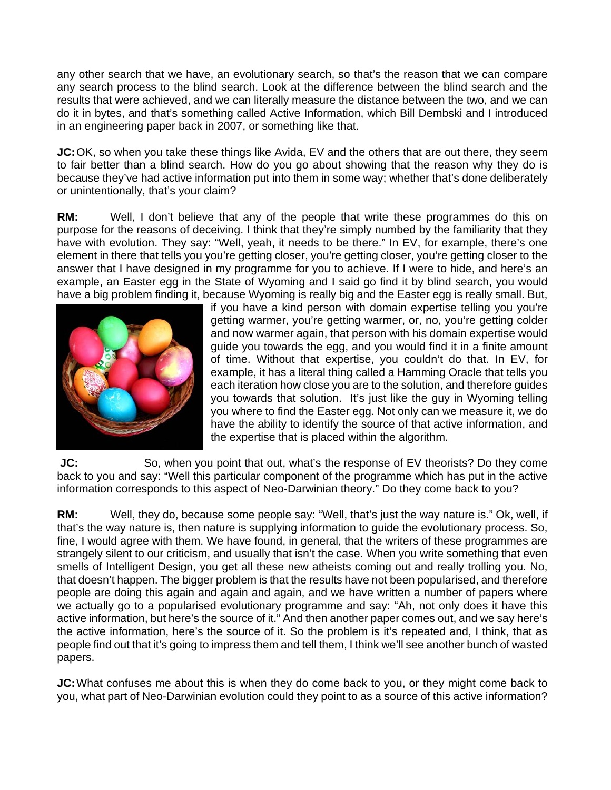any other search that we have, an evolutionary search, so that's the reason that we can compare any search process to the blind search. Look at the difference between the blind search and the results that were achieved, and we can literally measure the distance between the two, and we can do it in bytes, and that's something called Active Information, which Bill Dembski and I introduced in an engineering paper back in 2007, or something like that.

**JC:** OK, so when you take these things like Avida, EV and the others that are out there, they seem to fair better than a blind search. How do you go about showing that the reason why they do is because they've had active information put into them in some way; whether that's done deliberately or unintentionally, that's your claim?

**RM:** Well, I don't believe that any of the people that write these programmes do this on purpose for the reasons of deceiving. I think that they're simply numbed by the familiarity that they have with evolution. They say: "Well, yeah, it needs to be there." In EV, for example, there's one element in there that tells you you're getting closer, you're getting closer, you're getting closer to the answer that I have designed in my programme for you to achieve. If I were to hide, and here's an example, an Easter egg in the State of Wyoming and I said go find it by blind search, you would have a big problem finding it, because Wyoming is really big and the Easter egg is really small. But,



if you have a kind person with domain expertise telling you you're getting warmer, you're getting warmer, or, no, you're getting colder and now warmer again, that person with his domain expertise would guide you towards the egg, and you would find it in a finite amount of time. Without that expertise, you couldn't do that. In EV, for example, it has a literal thing called a Hamming Oracle that tells you each iteration how close you are to the solution, and therefore guides you towards that solution. It's just like the guy in Wyoming telling you where to find the Easter egg. Not only can we measure it, we do have the ability to identify the source of that active information, and the expertise that is placed within the algorithm.

**JC:** So, when you point that out, what's the response of EV theorists? Do they come back to you and say: "Well this particular component of the programme which has put in the active information corresponds to this aspect of Neo-Darwinian theory." Do they come back to you?

**RM:** Well, they do, because some people say: "Well, that's just the way nature is." Ok, well, if that's the way nature is, then nature is supplying information to guide the evolutionary process. So, fine, I would agree with them. We have found, in general, that the writers of these programmes are strangely silent to our criticism, and usually that isn't the case. When you write something that even smells of Intelligent Design, you get all these new atheists coming out and really trolling you. No, that doesn't happen. The bigger problem is that the results have not been popularised, and therefore people are doing this again and again and again, and we have written a number of papers where we actually go to a popularised evolutionary programme and say: "Ah, not only does it have this active information, but here's the source of it." And then another paper comes out, and we say here's the active information, here's the source of it. So the problem is it's repeated and, I think, that as people find out that it's going to impress them and tell them, I think we'll see another bunch of wasted papers.

**JC:** What confuses me about this is when they do come back to you, or they might come back to you, what part of Neo-Darwinian evolution could they point to as a source of this active information?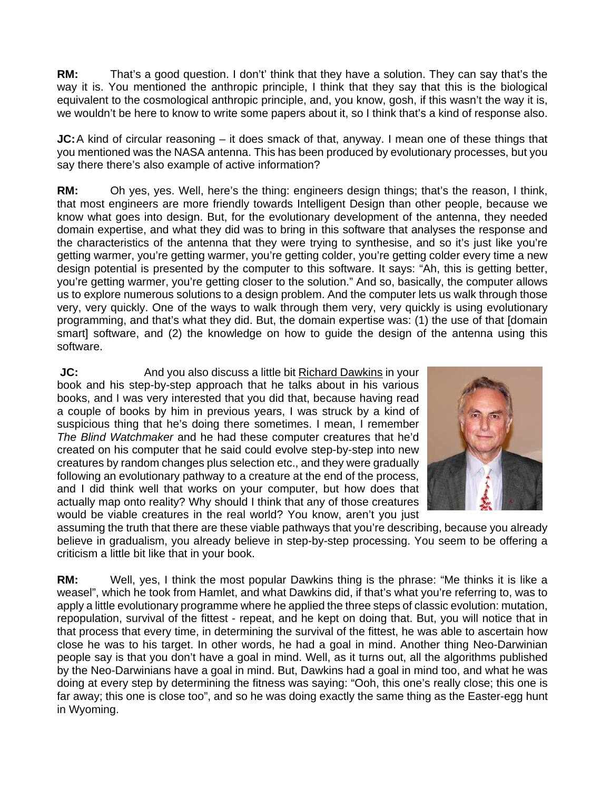**RM:** That's a good question. I don't' think that they have a solution. They can say that's the way it is. You mentioned the anthropic principle, I think that they say that this is the biological equivalent to the cosmological anthropic principle, and, you know, gosh, if this wasn't the way it is, we wouldn't be here to know to write some papers about it, so I think that's a kind of response also.

**JC:** A kind of circular reasoning – it does smack of that, anyway. I mean one of these things that you mentioned was the NASA antenna. This has been produced by evolutionary processes, but you say there there's also example of active information?

**RM:** Oh yes, yes. Well, here's the thing: engineers design things; that's the reason, I think, that most engineers are more friendly towards Intelligent Design than other people, because we know what goes into design. But, for the evolutionary development of the antenna, they needed domain expertise, and what they did was to bring in this software that analyses the response and the characteristics of the antenna that they were trying to synthesise, and so it's just like you're getting warmer, you're getting warmer, you're getting colder, you're getting colder every time a new design potential is presented by the computer to this software. It says: "Ah, this is getting better, you're getting warmer, you're getting closer to the solution." And so, basically, the computer allows us to explore numerous solutions to a design problem. And the computer lets us walk through those very, very quickly. One of the ways to walk through them very, very quickly is using evolutionary programming, and that's what they did. But, the domain expertise was: (1) the use of that [domain smart] software, and (2) the knowledge on how to guide the design of the antenna using this software.

**JC:** And you also discuss a little bit Richard Dawkins in your book and his step-by-step approach that he talks about in his various books, and I was very interested that you did that, because having read a couple of books by him in previous years, I was struck by a kind of suspicious thing that he's doing there sometimes. I mean, I remember *The Blind Watchmaker* and he had these computer creatures that he'd created on his computer that he said could evolve step-by-step into new creatures by random changes plus selection etc., and they were gradually following an evolutionary pathway to a creature at the end of the process, and I did think well that works on your computer, but how does that actually map onto reality? Why should I think that any of those creatures would be viable creatures in the real world? You know, aren't you just



assuming the truth that there are these viable pathways that you're describing, because you already believe in gradualism, you already believe in step-by-step processing. You seem to be offering a criticism a little bit like that in your book.

**RM:** Well, yes, I think the most popular Dawkins thing is the phrase: "Me thinks it is like a weasel", which he took from Hamlet, and what Dawkins did, if that's what you're referring to, was to apply a little evolutionary programme where he applied the three steps of classic evolution: mutation, repopulation, survival of the fittest - repeat, and he kept on doing that. But, you will notice that in that process that every time, in determining the survival of the fittest, he was able to ascertain how close he was to his target. In other words, he had a goal in mind. Another thing Neo-Darwinian people say is that you don't have a goal in mind. Well, as it turns out, all the algorithms published by the Neo-Darwinians have a goal in mind. But, Dawkins had a goal in mind too, and what he was doing at every step by determining the fitness was saying: "Ooh, this one's really close; this one is far away; this one is close too", and so he was doing exactly the same thing as the Easter-egg hunt in Wyoming.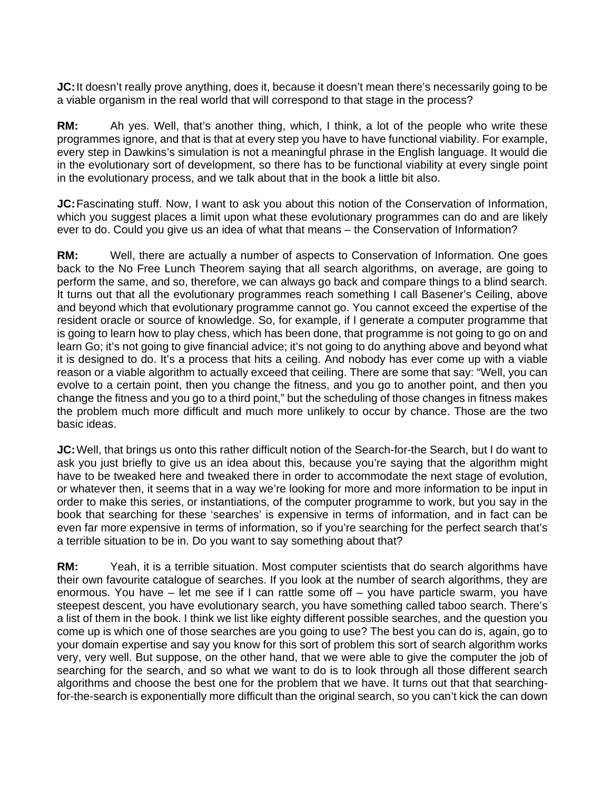**JC:** It doesn't really prove anything, does it, because it doesn't mean there's necessarily going to be a viable organism in the real world that will correspond to that stage in the process?

**RM:** Ah yes. Well, that's another thing, which, I think, a lot of the people who write these programmes ignore, and that is that at every step you have to have functional viability. For example, every step in Dawkins's simulation is not a meaningful phrase in the English language. It would die in the evolutionary sort of development, so there has to be functional viability at every single point in the evolutionary process, and we talk about that in the book a little bit also.

**JC:** Fascinating stuff. Now, I want to ask you about this notion of the Conservation of Information, which you suggest places a limit upon what these evolutionary programmes can do and are likely ever to do. Could you give us an idea of what that means – the Conservation of Information?

**RM:** Well, there are actually a number of aspects to Conservation of Information. One goes back to the No Free Lunch Theorem saying that all search algorithms, on average, are going to perform the same, and so, therefore, we can always go back and compare things to a blind search. It turns out that all the evolutionary programmes reach something I call Basener's Ceiling, above and beyond which that evolutionary programme cannot go. You cannot exceed the expertise of the resident oracle or source of knowledge. So, for example, if I generate a computer programme that is going to learn how to play chess, which has been done, that programme is not going to go on and learn Go; it's not going to give financial advice; it's not going to do anything above and beyond what it is designed to do. It's a process that hits a ceiling. And nobody has ever come up with a viable reason or a viable algorithm to actually exceed that ceiling. There are some that say: "Well, you can evolve to a certain point, then you change the fitness, and you go to another point, and then you change the fitness and you go to a third point," but the scheduling of those changes in fitness makes the problem much more difficult and much more unlikely to occur by chance. Those are the two basic ideas.

**JC:** Well, that brings us onto this rather difficult notion of the Search-for-the Search, but I do want to ask you just briefly to give us an idea about this, because you're saying that the algorithm might have to be tweaked here and tweaked there in order to accommodate the next stage of evolution, or whatever then, it seems that in a way we're looking for more and more information to be input in order to make this series, or instantiations, of the computer programme to work, but you say in the book that searching for these 'searches' is expensive in terms of information, and in fact can be even far more expensive in terms of information, so if you're searching for the perfect search that's a terrible situation to be in. Do you want to say something about that?

**RM:** Yeah, it is a terrible situation. Most computer scientists that do search algorithms have their own favourite catalogue of searches. If you look at the number of search algorithms, they are enormous. You have – let me see if I can rattle some off – you have particle swarm, you have steepest descent, you have evolutionary search, you have something called taboo search. There's a list of them in the book. I think we list like eighty different possible searches, and the question you come up is which one of those searches are you going to use? The best you can do is, again, go to your domain expertise and say you know for this sort of problem this sort of search algorithm works very, very well. But suppose, on the other hand, that we were able to give the computer the job of searching for the search, and so what we want to do is to look through all those different search algorithms and choose the best one for the problem that we have. It turns out that that searchingfor-the-search is exponentially more difficult than the original search, so you can't kick the can down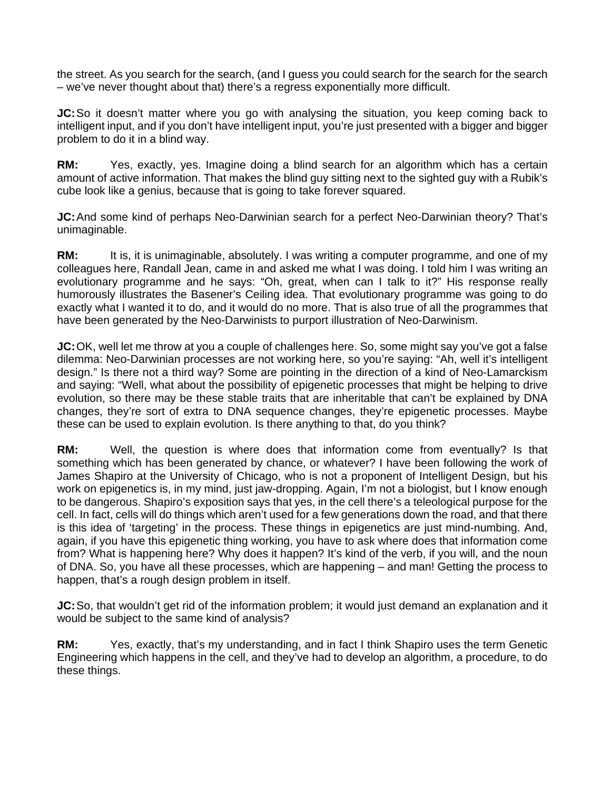the street. As you search for the search, (and I guess you could search for the search for the search – we've never thought about that) there's a regress exponentially more difficult.

**JC:** So it doesn't matter where you go with analysing the situation, you keep coming back to intelligent input, and if you don't have intelligent input, you're just presented with a bigger and bigger problem to do it in a blind way.

**RM:** Yes, exactly, yes. Imagine doing a blind search for an algorithm which has a certain amount of active information. That makes the blind guy sitting next to the sighted guy with a Rubik's cube look like a genius, because that is going to take forever squared.

**JC:** And some kind of perhaps Neo-Darwinian search for a perfect Neo-Darwinian theory? That's unimaginable.

**RM:** It is, it is unimaginable, absolutely. I was writing a computer programme, and one of my colleagues here, Randall Jean, came in and asked me what I was doing. I told him I was writing an evolutionary programme and he says: "Oh, great, when can I talk to it?" His response really humorously illustrates the Basener's Ceiling idea. That evolutionary programme was going to do exactly what I wanted it to do, and it would do no more. That is also true of all the programmes that have been generated by the Neo-Darwinists to purport illustration of Neo-Darwinism.

**JC:** OK, well let me throw at you a couple of challenges here. So, some might say you've got a false dilemma: Neo-Darwinian processes are not working here, so you're saying: "Ah, well it's intelligent design." Is there not a third way? Some are pointing in the direction of a kind of Neo-Lamarckism and saying: "Well, what about the possibility of epigenetic processes that might be helping to drive evolution, so there may be these stable traits that are inheritable that can't be explained by DNA changes, they're sort of extra to DNA sequence changes, they're epigenetic processes. Maybe these can be used to explain evolution. Is there anything to that, do you think?

**RM:** Well, the question is where does that information come from eventually? Is that something which has been generated by chance, or whatever? I have been following the work of James Shapiro at the University of Chicago, who is not a proponent of Intelligent Design, but his work on epigenetics is, in my mind, just jaw-dropping. Again, I'm not a biologist, but I know enough to be dangerous. Shapiro's exposition says that yes, in the cell there's a teleological purpose for the cell. In fact, cells will do things which aren't used for a few generations down the road, and that there is this idea of 'targeting' in the process. These things in epigenetics are just mind-numbing. And, again, if you have this epigenetic thing working, you have to ask where does that information come from? What is happening here? Why does it happen? It's kind of the verb, if you will, and the noun of DNA. So, you have all these processes, which are happening – and man! Getting the process to happen, that's a rough design problem in itself.

**JC:** So, that wouldn't get rid of the information problem; it would just demand an explanation and it would be subject to the same kind of analysis?

**RM:** Yes, exactly, that's my understanding, and in fact I think Shapiro uses the term Genetic Engineering which happens in the cell, and they've had to develop an algorithm, a procedure, to do these things.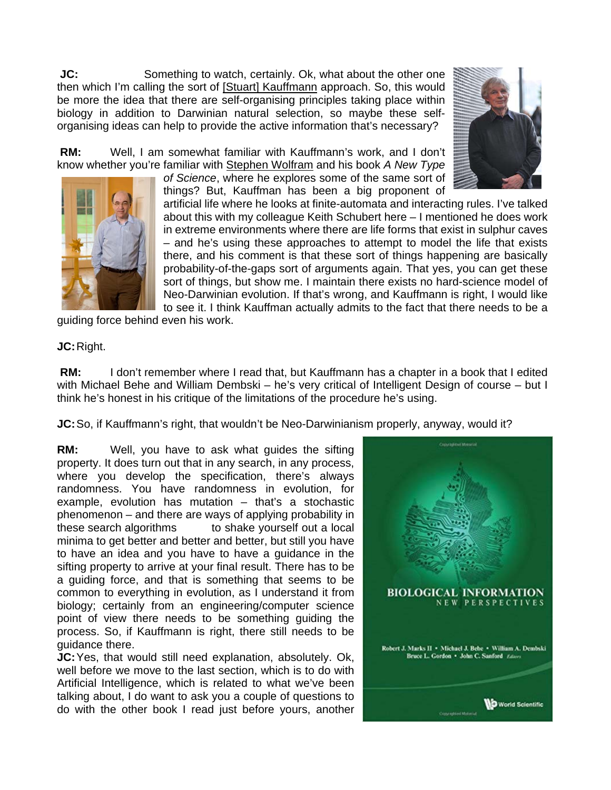**JC:** Something to watch, certainly. Ok, what about the other one then which I'm calling the sort of [Stuart] Kauffmann approach. So, this would be more the idea that there are self-organising principles taking place within biology in addition to Darwinian natural selection, so maybe these selforganising ideas can help to provide the active information that's necessary?

 **RM:** Well, I am somewhat familiar with Kauffmann's work, and I don't know whether you're familiar with Stephen Wolfram and his book *A New Type* 

*of Science*, where he explores some of the same sort of things? But, Kauffman has been a big proponent of





artificial life where he looks at finite-automata and interacting rules. I've talked about this with my colleague Keith Schubert here – I mentioned he does work in extreme environments where there are life forms that exist in sulphur caves – and he's using these approaches to attempt to model the life that exists there, and his comment is that these sort of things happening are basically probability-of-the-gaps sort of arguments again. That yes, you can get these sort of things, but show me. I maintain there exists no hard-science model of Neo-Darwinian evolution. If that's wrong, and Kauffmann is right, I would like to see it. I think Kauffman actually admits to the fact that there needs to be a

guiding force behind even his work.

## **JC:** Right.

**RM:** I don't remember where I read that, but Kauffmann has a chapter in a book that I edited with Michael Behe and William Dembski – he's very critical of Intelligent Design of course – but I think he's honest in his critique of the limitations of the procedure he's using.

**JC:** So, if Kauffmann's right, that wouldn't be Neo-Darwinianism properly, anyway, would it?

**RM:** Well, you have to ask what guides the sifting property. It does turn out that in any search, in any process, where you develop the specification, there's always randomness. You have randomness in evolution, for example, evolution has mutation – that's a stochastic phenomenon – and there are ways of applying probability in these search algorithms to shake yourself out a local minima to get better and better and better, but still you have to have an idea and you have to have a guidance in the sifting property to arrive at your final result. There has to be a guiding force, and that is something that seems to be common to everything in evolution, as I understand it from biology; certainly from an engineering/computer science point of view there needs to be something guiding the process. So, if Kauffmann is right, there still needs to be guidance there.

**JC:** Yes, that would still need explanation, absolutely. Ok, well before we move to the last section, which is to do with Artificial Intelligence, which is related to what we've been talking about, I do want to ask you a couple of questions to do with the other book I read just before yours, another

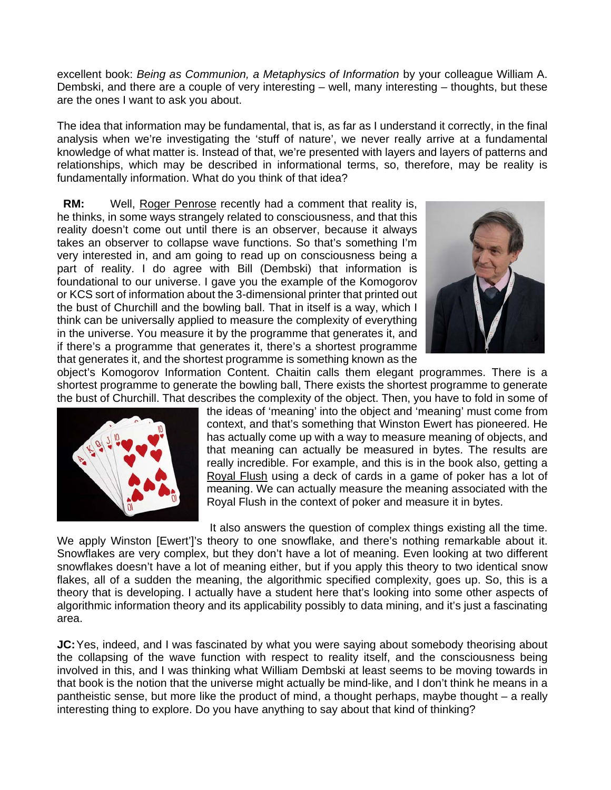excellent book: *Being as Communion, a Metaphysics of Information* by your colleague William A. Dembski, and there are a couple of very interesting – well, many interesting – thoughts, but these are the ones I want to ask you about.

The idea that information may be fundamental, that is, as far as I understand it correctly, in the final analysis when we're investigating the 'stuff of nature', we never really arrive at a fundamental knowledge of what matter is. Instead of that, we're presented with layers and layers of patterns and relationships, which may be described in informational terms, so, therefore, may be reality is fundamentally information. What do you think of that idea?

**RM:** Well, Roger Penrose recently had a comment that reality is, he thinks, in some ways strangely related to consciousness, and that this reality doesn't come out until there is an observer, because it always takes an observer to collapse wave functions. So that's something I'm very interested in, and am going to read up on consciousness being a part of reality. I do agree with Bill (Dembski) that information is foundational to our universe. I gave you the example of the Komogorov or KCS sort of information about the 3-dimensional printer that printed out the bust of Churchill and the bowling ball. That in itself is a way, which I think can be universally applied to measure the complexity of everything in the universe. You measure it by the programme that generates it, and if there's a programme that generates it, there's a shortest programme that generates it, and the shortest programme is something known as the



object's Komogorov Information Content. Chaitin calls them elegant programmes. There is a shortest programme to generate the bowling ball, There exists the shortest programme to generate the bust of Churchill. That describes the complexity of the object. Then, you have to fold in some of



the ideas of 'meaning' into the object and 'meaning' must come from context, and that's something that Winston Ewert has pioneered. He has actually come up with a way to measure meaning of objects, and that meaning can actually be measured in bytes. The results are really incredible. For example, and this is in the book also, getting a Royal Flush using a deck of cards in a game of poker has a lot of meaning. We can actually measure the meaning associated with the Royal Flush in the context of poker and measure it in bytes.

It also answers the question of complex things existing all the time.

We apply Winston [Ewert']'s theory to one snowflake, and there's nothing remarkable about it. Snowflakes are very complex, but they don't have a lot of meaning. Even looking at two different snowflakes doesn't have a lot of meaning either, but if you apply this theory to two identical snow flakes, all of a sudden the meaning, the algorithmic specified complexity, goes up. So, this is a theory that is developing. I actually have a student here that's looking into some other aspects of algorithmic information theory and its applicability possibly to data mining, and it's just a fascinating area.

**JC:** Yes, indeed, and I was fascinated by what you were saying about somebody theorising about the collapsing of the wave function with respect to reality itself, and the consciousness being involved in this, and I was thinking what William Dembski at least seems to be moving towards in that book is the notion that the universe might actually be mind-like, and I don't think he means in a pantheistic sense, but more like the product of mind, a thought perhaps, maybe thought – a really interesting thing to explore. Do you have anything to say about that kind of thinking?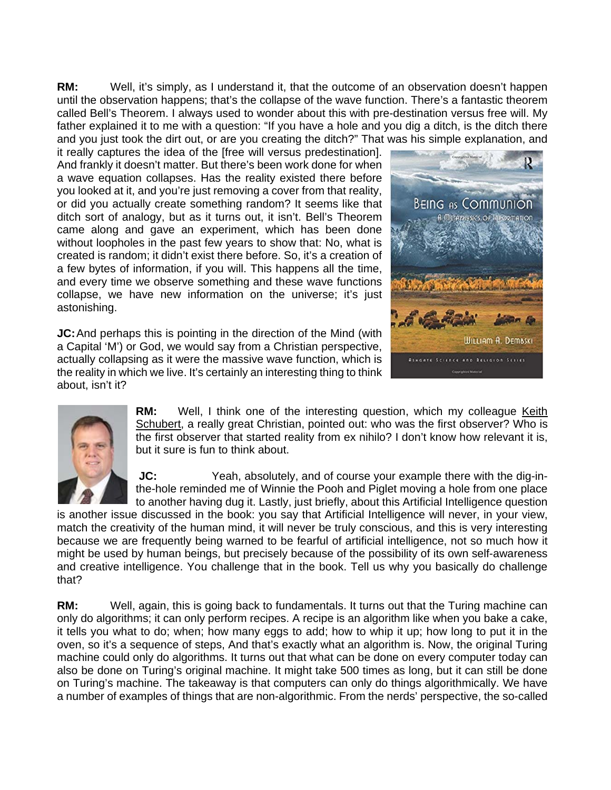**RM:** Well, it's simply, as I understand it, that the outcome of an observation doesn't happen until the observation happens; that's the collapse of the wave function. There's a fantastic theorem called Bell's Theorem. I always used to wonder about this with pre-destination versus free will. My father explained it to me with a question: "If you have a hole and you dig a ditch, is the ditch there and you just took the dirt out, or are you creating the ditch?" That was his simple explanation, and

it really captures the idea of the [free will versus predestination]. And frankly it doesn't matter. But there's been work done for when a wave equation collapses. Has the reality existed there before you looked at it, and you're just removing a cover from that reality, or did you actually create something random? It seems like that ditch sort of analogy, but as it turns out, it isn't. Bell's Theorem came along and gave an experiment, which has been done without loopholes in the past few years to show that: No, what is created is random; it didn't exist there before. So, it's a creation of a few bytes of information, if you will. This happens all the time, and every time we observe something and these wave functions collapse, we have new information on the universe; it's just astonishing.

**JC:** And perhaps this is pointing in the direction of the Mind (with a Capital 'M') or God, we would say from a Christian perspective, actually collapsing as it were the massive wave function, which is the reality in which we live. It's certainly an interesting thing to think about, isn't it?





**RM:** Well, I think one of the interesting question, which my colleague Keith Schubert, a really great Christian, pointed out: who was the first observer? Who is the first observer that started reality from ex nihilo? I don't know how relevant it is, but it sure is fun to think about.

**JC:** Yeah, absolutely, and of course your example there with the dig-inthe-hole reminded me of Winnie the Pooh and Piglet moving a hole from one place to another having dug it. Lastly, just briefly, about this Artificial Intelligence question

is another issue discussed in the book: you say that Artificial Intelligence will never, in your view, match the creativity of the human mind, it will never be truly conscious, and this is very interesting because we are frequently being warned to be fearful of artificial intelligence, not so much how it might be used by human beings, but precisely because of the possibility of its own self-awareness and creative intelligence. You challenge that in the book. Tell us why you basically do challenge that?

**RM:** Well, again, this is going back to fundamentals. It turns out that the Turing machine can only do algorithms; it can only perform recipes. A recipe is an algorithm like when you bake a cake, it tells you what to do; when; how many eggs to add; how to whip it up; how long to put it in the oven, so it's a sequence of steps, And that's exactly what an algorithm is. Now, the original Turing machine could only do algorithms. It turns out that what can be done on every computer today can also be done on Turing's original machine. It might take 500 times as long, but it can still be done on Turing's machine. The takeaway is that computers can only do things algorithmically. We have a number of examples of things that are non-algorithmic. From the nerds' perspective, the so-called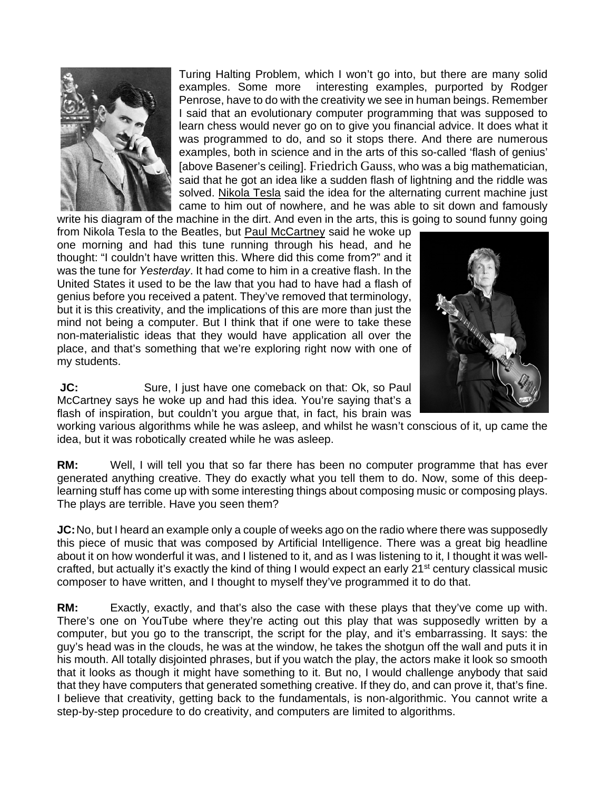

Turing Halting Problem, which I won't go into, but there are many solid examples. Some more interesting examples, purported by Rodger Penrose, have to do with the creativity we see in human beings. Remember I said that an evolutionary computer programming that was supposed to learn chess would never go on to give you financial advice. It does what it was programmed to do, and so it stops there. And there are numerous examples, both in science and in the arts of this so-called 'flash of genius' [above Basener's ceiling]. Friedrich Gauss, who was a big mathematician, said that he got an idea like a sudden flash of lightning and the riddle was solved. Nikola Tesla said the idea for the alternating current machine just came to him out of nowhere, and he was able to sit down and famously write his diagram of the machine in the dirt. And even in the arts, this is going to sound funny going

from Nikola Tesla to the Beatles, but Paul McCartney said he woke up one morning and had this tune running through his head, and he thought: "I couldn't have written this. Where did this come from?" and it was the tune for *Yesterday*. It had come to him in a creative flash. In the United States it used to be the law that you had to have had a flash of genius before you received a patent. They've removed that terminology, but it is this creativity, and the implications of this are more than just the mind not being a computer. But I think that if one were to take these non-materialistic ideas that they would have application all over the place, and that's something that we're exploring right now with one of my students.



**JC:** Sure, I just have one comeback on that: Ok, so Paul McCartney says he woke up and had this idea. You're saying that's a flash of inspiration, but couldn't you argue that, in fact, his brain was

working various algorithms while he was asleep, and whilst he wasn't conscious of it, up came the idea, but it was robotically created while he was asleep.

**RM:** Well, I will tell you that so far there has been no computer programme that has ever generated anything creative. They do exactly what you tell them to do. Now, some of this deeplearning stuff has come up with some interesting things about composing music or composing plays. The plays are terrible. Have you seen them?

**JC:** No, but I heard an example only a couple of weeks ago on the radio where there was supposedly this piece of music that was composed by Artificial Intelligence. There was a great big headline about it on how wonderful it was, and I listened to it, and as I was listening to it, I thought it was wellcrafted, but actually it's exactly the kind of thing I would expect an early 21<sup>st</sup> century classical music composer to have written, and I thought to myself they've programmed it to do that.

**RM:** Exactly, exactly, and that's also the case with these plays that they've come up with. There's one on YouTube where they're acting out this play that was supposedly written by a computer, but you go to the transcript, the script for the play, and it's embarrassing. It says: the guy's head was in the clouds, he was at the window, he takes the shotgun off the wall and puts it in his mouth. All totally disjointed phrases, but if you watch the play, the actors make it look so smooth that it looks as though it might have something to it. But no, I would challenge anybody that said that they have computers that generated something creative. If they do, and can prove it, that's fine. I believe that creativity, getting back to the fundamentals, is non-algorithmic. You cannot write a step-by-step procedure to do creativity, and computers are limited to algorithms.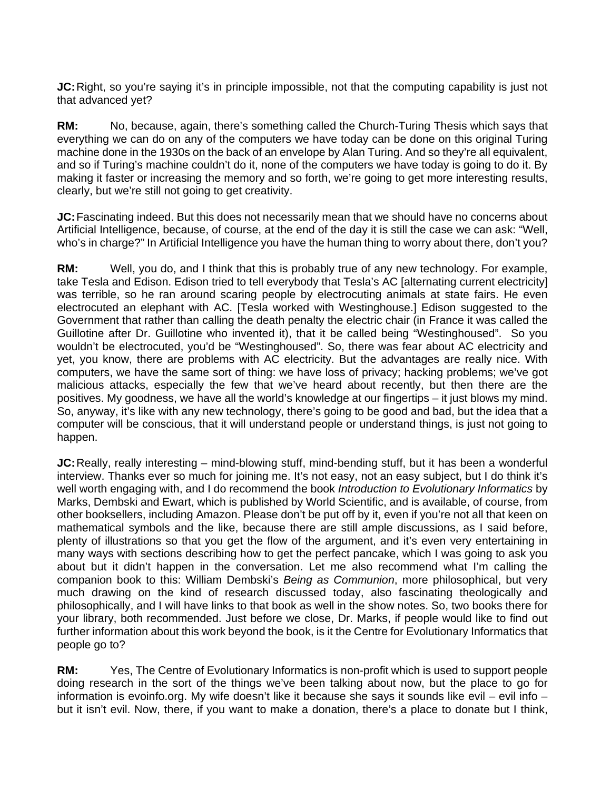**JC:** Right, so you're saying it's in principle impossible, not that the computing capability is just not that advanced yet?

**RM:** No, because, again, there's something called the Church-Turing Thesis which says that everything we can do on any of the computers we have today can be done on this original Turing machine done in the 1930s on the back of an envelope by Alan Turing. And so they're all equivalent, and so if Turing's machine couldn't do it, none of the computers we have today is going to do it. By making it faster or increasing the memory and so forth, we're going to get more interesting results, clearly, but we're still not going to get creativity.

**JC:** Fascinating indeed. But this does not necessarily mean that we should have no concerns about Artificial Intelligence, because, of course, at the end of the day it is still the case we can ask: "Well, who's in charge?" In Artificial Intelligence you have the human thing to worry about there, don't you?

**RM:** Well, you do, and I think that this is probably true of any new technology. For example, take Tesla and Edison. Edison tried to tell everybody that Tesla's AC [alternating current electricity] was terrible, so he ran around scaring people by electrocuting animals at state fairs. He even electrocuted an elephant with AC. [Tesla worked with Westinghouse.] Edison suggested to the Government that rather than calling the death penalty the electric chair (in France it was called the Guillotine after Dr. Guillotine who invented it), that it be called being "Westinghoused". So you wouldn't be electrocuted, you'd be "Westinghoused". So, there was fear about AC electricity and yet, you know, there are problems with AC electricity. But the advantages are really nice. With computers, we have the same sort of thing: we have loss of privacy; hacking problems; we've got malicious attacks, especially the few that we've heard about recently, but then there are the positives. My goodness, we have all the world's knowledge at our fingertips – it just blows my mind. So, anyway, it's like with any new technology, there's going to be good and bad, but the idea that a computer will be conscious, that it will understand people or understand things, is just not going to happen.

**JC:** Really, really interesting – mind-blowing stuff, mind-bending stuff, but it has been a wonderful interview. Thanks ever so much for joining me. It's not easy, not an easy subject, but I do think it's well worth engaging with, and I do recommend the book *Introduction to Evolutionary Informatics* by Marks, Dembski and Ewart, which is published by World Scientific, and is available, of course, from other booksellers, including Amazon. Please don't be put off by it, even if you're not all that keen on mathematical symbols and the like, because there are still ample discussions, as I said before, plenty of illustrations so that you get the flow of the argument, and it's even very entertaining in many ways with sections describing how to get the perfect pancake, which I was going to ask you about but it didn't happen in the conversation. Let me also recommend what I'm calling the companion book to this: William Dembski's *Being as Communion*, more philosophical, but very much drawing on the kind of research discussed today, also fascinating theologically and philosophically, and I will have links to that book as well in the show notes. So, two books there for your library, both recommended. Just before we close, Dr. Marks, if people would like to find out further information about this work beyond the book, is it the Centre for Evolutionary Informatics that people go to?

**RM:** Yes, The Centre of Evolutionary Informatics is non-profit which is used to support people doing research in the sort of the things we've been talking about now, but the place to go for information is evoinfo.org. My wife doesn't like it because she says it sounds like evil – evil info – but it isn't evil. Now, there, if you want to make a donation, there's a place to donate but I think,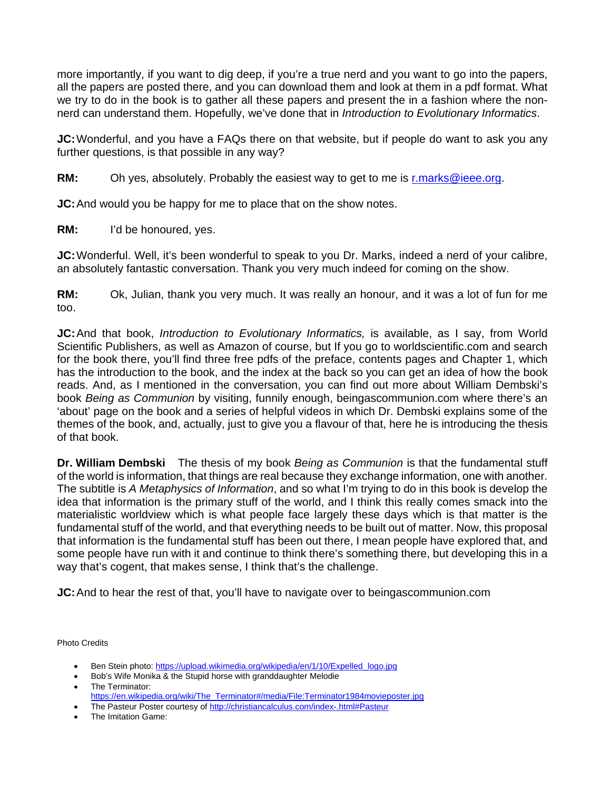more importantly, if you want to dig deep, if you're a true nerd and you want to go into the papers, all the papers are posted there, and you can download them and look at them in a pdf format. What we try to do in the book is to gather all these papers and present the in a fashion where the nonnerd can understand them. Hopefully, we've done that in *Introduction to Evolutionary Informatics*.

**JC:** Wonderful, and you have a FAQs there on that website, but if people do want to ask you any further questions, is that possible in any way?

**RM:** Oh yes, absolutely. Probably the easiest way to get to me is r.marks@ieee.org.

**JC:** And would you be happy for me to place that on the show notes.

**RM:** I'd be honoured, yes.

**JC:** Wonderful. Well, it's been wonderful to speak to you Dr. Marks, indeed a nerd of your calibre, an absolutely fantastic conversation. Thank you very much indeed for coming on the show.

**RM:** Ok, Julian, thank you very much. It was really an honour, and it was a lot of fun for me too.

**JC:** And that book, *Introduction to Evolutionary Informatics,* is available, as I say, from World Scientific Publishers, as well as Amazon of course, but If you go to worldscientific.com and search for the book there, you'll find three free pdfs of the preface, contents pages and Chapter 1, which has the introduction to the book, and the index at the back so you can get an idea of how the book reads. And, as I mentioned in the conversation, you can find out more about William Dembski's book *Being as Communion* by visiting, funnily enough, beingascommunion.com where there's an 'about' page on the book and a series of helpful videos in which Dr. Dembski explains some of the themes of the book, and, actually, just to give you a flavour of that, here he is introducing the thesis of that book.

**Dr. William Dembski** The thesis of my book *Being as Communion* is that the fundamental stuff of the world is information, that things are real because they exchange information, one with another. The subtitle is *A Metaphysics of Information*, and so what I'm trying to do in this book is develop the idea that information is the primary stuff of the world, and I think this really comes smack into the materialistic worldview which is what people face largely these days which is that matter is the fundamental stuff of the world, and that everything needs to be built out of matter. Now, this proposal that information is the fundamental stuff has been out there, I mean people have explored that, and some people have run with it and continue to think there's something there, but developing this in a way that's cogent, that makes sense, I think that's the challenge.

**JC:** And to hear the rest of that, you'll have to navigate over to beingascommunion.com

Photo Credits

- Ben Stein photo: https://upload.wikimedia.org/wikipedia/en/1/10/Expelled\_logo.jpg
- Bob's Wife Monika & the Stupid horse with granddaughter Melodie The Terminator:
- https://en.wikipedia.org/wiki/The\_Terminator#/media/File:Terminator1984movieposter.jpg
- The Pasteur Poster courtesy of http://christiancalculus.com/index-.html#Pasteur
- The Imitation Game: